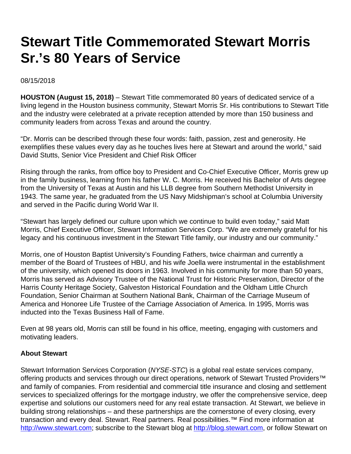## **Stewart Title Commemorated Stewart Morris Sr.'s 80 Years of Service**

08/15/2018

**HOUSTON (August 15, 2018)** – Stewart Title commemorated 80 years of dedicated service of a living legend in the Houston business community, Stewart Morris Sr. His contributions to Stewart Title and the industry were celebrated at a private reception attended by more than 150 business and community leaders from across Texas and around the country.

"Dr. Morris can be described through these four words: faith, passion, zest and generosity. He exemplifies these values every day as he touches lives here at Stewart and around the world," said David Stutts, Senior Vice President and Chief Risk Officer

Rising through the ranks, from office boy to President and Co-Chief Executive Officer, Morris grew up in the family business, learning from his father W. C. Morris. He received his Bachelor of Arts degree from the University of Texas at Austin and his LLB degree from Southern Methodist University in 1943. The same year, he graduated from the US Navy Midshipman's school at Columbia University and served in the Pacific during World War II.

"Stewart has largely defined our culture upon which we continue to build even today," said Matt Morris, Chief Executive Officer, Stewart Information Services Corp. "We are extremely grateful for his legacy and his continuous investment in the Stewart Title family, our industry and our community."

Morris, one of Houston Baptist University's Founding Fathers, twice chairman and currently a member of the Board of Trustees of HBU, and his wife Joella were instrumental in the establishment of the university, which opened its doors in 1963. Involved in his community for more than 50 years, Morris has served as Advisory Trustee of the National Trust for Historic Preservation, Director of the Harris County Heritage Society, Galveston Historical Foundation and the Oldham Little Church Foundation, Senior Chairman at Southern National Bank, Chairman of the Carriage Museum of America and Honoree Life Trustee of the Carriage Association of America. In 1995, Morris was inducted into the Texas Business Hall of Fame.

Even at 98 years old, Morris can still be found in his office, meeting, engaging with customers and motivating leaders.

## **About Stewart**

Stewart Information Services Corporation (NYSE-STC) is a global real estate services company, offering products and services through our direct operations, network of Stewart Trusted Providers<sup>™</sup> and family of companies. From residential and commercial title insurance and closing and settlement services to specialized offerings for the mortgage industry, we offer the comprehensive service, deep expertise and solutions our customers need for any real estate transaction. At Stewart, we believe in building strong relationships – and these partnerships are the cornerstone of every closing, every transaction and every deal. Stewart. Real partners. Real possibilities.<sup>™</sup> Find more information at [http://www.stewart.com](http://www.stewart.com/); subscribe to the Stewart blog at [http://blog.stewart.com,](http://blog.stewart.com/) or follow Stewart on